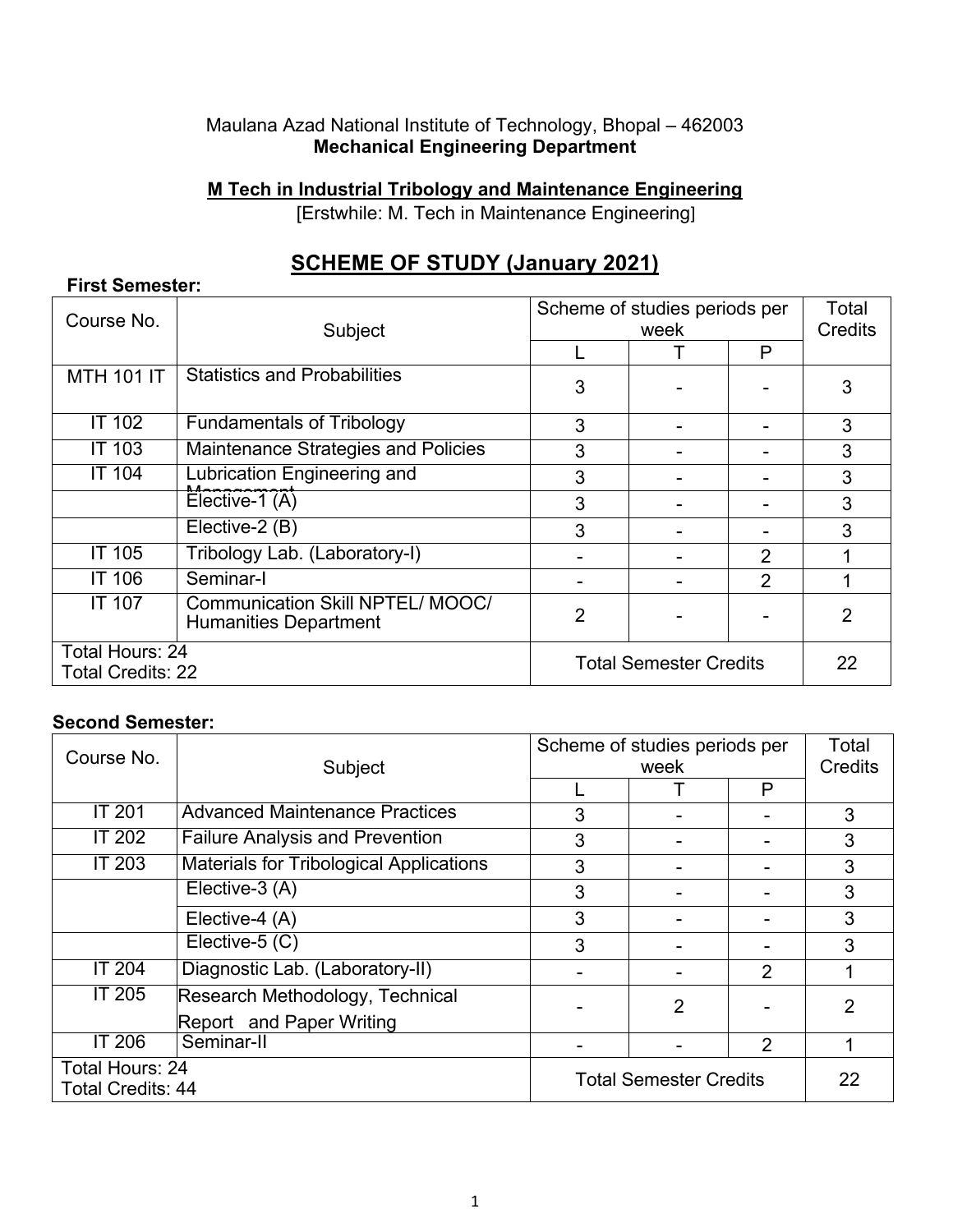#### Maulana Azad National Institute of Technology, Bhopal – 462003 **Mechanical Engineering Department**

**M Tech in Industrial Tribology and Maintenance Engineering**

[Erstwhile: M. Tech in Maintenance Engineering]

# **SCHEME OF STUDY (January 2021)**

| Course No.                                  |                                                                         | Scheme of studies periods per |      |                | Total<br><b>Credits</b> |  |
|---------------------------------------------|-------------------------------------------------------------------------|-------------------------------|------|----------------|-------------------------|--|
|                                             | Subject                                                                 |                               | week |                |                         |  |
|                                             |                                                                         |                               |      | P              |                         |  |
| <b>MTH 101 IT</b>                           | <b>Statistics and Probabilities</b>                                     | 3                             |      |                | 3                       |  |
| <b>IT 102</b>                               | <b>Fundamentals of Tribology</b>                                        | 3                             |      |                | 3                       |  |
| <b>IT 103</b>                               | Maintenance Strategies and Policies                                     | 3                             |      |                | 3                       |  |
| <b>IT 104</b>                               | Lubrication Engineering and                                             | 3                             |      |                | 3                       |  |
|                                             | Elective-1 (A)                                                          | 3                             |      |                | 3                       |  |
|                                             | Elective-2 (B)                                                          | 3                             |      |                | 3                       |  |
| <b>IT 105</b>                               | Tribology Lab. (Laboratory-I)                                           |                               |      | $\overline{2}$ |                         |  |
| <b>IT 106</b>                               | Seminar-I                                                               |                               |      | 2              |                         |  |
| <b>IT 107</b>                               | <b>Communication Skill NPTEL/ MOOC/</b><br><b>Humanities Department</b> | $\overline{2}$                |      |                |                         |  |
| Total Hours: 24<br><b>Total Credits: 22</b> |                                                                         | <b>Total Semester Credits</b> |      |                | 22                      |  |

## **Second Semester:**

**First Semester:**

| Course No.               | Subject                                        |                               | Scheme of studies periods per |                |         |
|--------------------------|------------------------------------------------|-------------------------------|-------------------------------|----------------|---------|
|                          |                                                | week                          |                               |                | Credits |
|                          |                                                |                               |                               | P              |         |
| <b>IT 201</b>            | <b>Advanced Maintenance Practices</b>          | 3                             |                               |                | 3       |
| <b>IT 202</b>            | <b>Failure Analysis and Prevention</b>         | 3                             |                               |                | 3       |
| <b>IT 203</b>            | <b>Materials for Tribological Applications</b> | 3                             |                               |                | 3       |
|                          | Elective-3 (A)                                 | 3                             |                               |                | 3       |
|                          | Elective-4 (A)                                 | 3                             |                               |                | 3       |
|                          | Elective-5 (C)                                 | 3                             |                               |                | 3       |
| <b>IT 204</b>            | Diagnostic Lab. (Laboratory-II)                |                               |                               | $\overline{2}$ |         |
| <b>IT 205</b>            | Research Methodology, Technical                |                               | 2                             |                | 2       |
|                          | Report and Paper Writing                       |                               |                               |                |         |
| <b>IT 206</b>            | Seminar-II                                     |                               |                               | $\overline{2}$ |         |
| Total Hours: 24          |                                                | <b>Total Semester Credits</b> |                               |                | 22      |
| <b>Total Credits: 44</b> |                                                |                               |                               |                |         |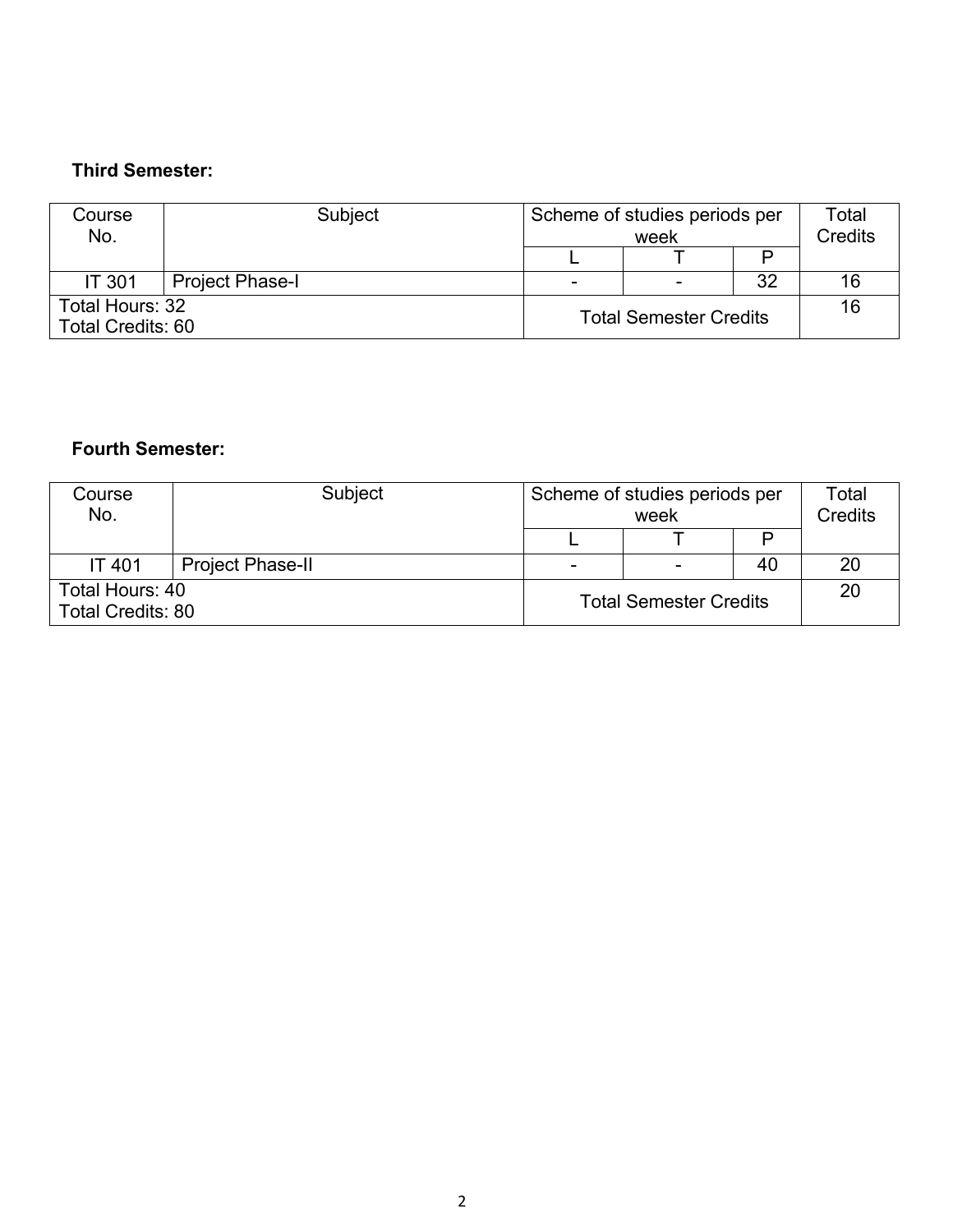#### **Third Semester:**

| Course<br>No.                               | Subject                | Scheme of studies periods per<br>week |   | Total<br><b>Credits</b> |    |
|---------------------------------------------|------------------------|---------------------------------------|---|-------------------------|----|
|                                             |                        |                                       |   |                         |    |
| <b>IT 301</b>                               | <b>Project Phase-I</b> | $\overline{\phantom{0}}$              | - | 32                      | 16 |
| Total Hours: 32<br><b>Total Credits: 60</b> |                        | <b>Total Semester Credits</b>         |   |                         | 16 |

## **Fourth Semester:**

| Course<br>No.                               | Subject                 |                               | Scheme of studies periods per<br>week |    | Total<br><b>Credits</b> |
|---------------------------------------------|-------------------------|-------------------------------|---------------------------------------|----|-------------------------|
|                                             |                         |                               |                                       |    |                         |
| <b>IT 401</b>                               | <b>Project Phase-II</b> |                               |                                       | 40 | 20                      |
| Total Hours: 40<br><b>Total Credits: 80</b> |                         | <b>Total Semester Credits</b> |                                       |    | 20                      |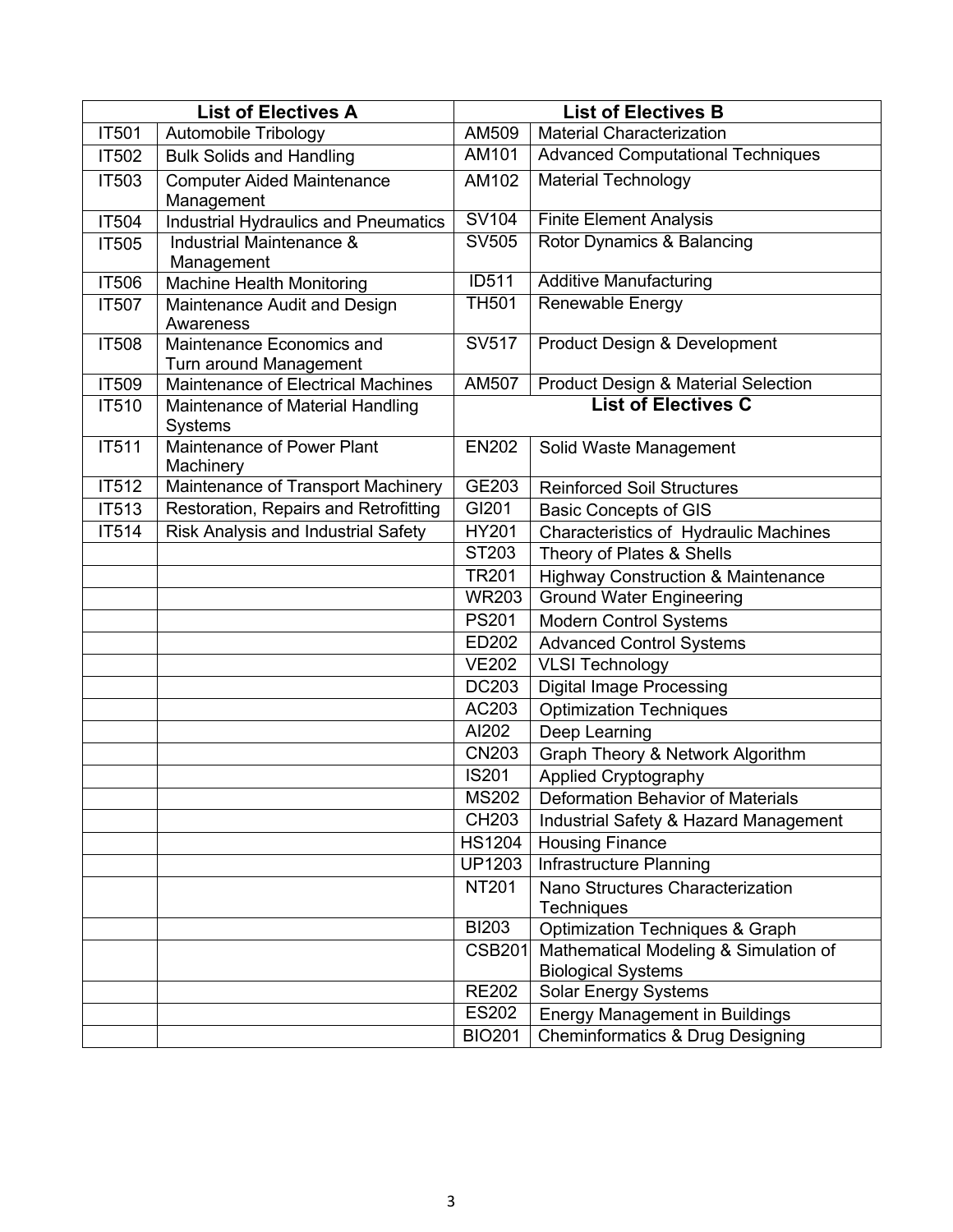| <b>List of Electives A</b> |                                                     |                            | <b>List of Electives B</b>                                         |
|----------------------------|-----------------------------------------------------|----------------------------|--------------------------------------------------------------------|
| IT501                      | Automobile Tribology                                | AM509                      | <b>Material Characterization</b>                                   |
| IT502                      | <b>Bulk Solids and Handling</b>                     | AM101                      | <b>Advanced Computational Techniques</b>                           |
| IT503                      | <b>Computer Aided Maintenance</b><br>Management     | AM102                      | <b>Material Technology</b>                                         |
| <b>IT504</b>               | <b>Industrial Hydraulics and Pneumatics</b>         | <b>SV104</b>               | <b>Finite Element Analysis</b>                                     |
| <b>IT505</b>               | Industrial Maintenance &<br>Management              | <b>SV505</b>               | Rotor Dynamics & Balancing                                         |
| <b>IT506</b>               | <b>Machine Health Monitoring</b>                    | <b>ID511</b>               | <b>Additive Manufacturing</b>                                      |
| IT507                      | Maintenance Audit and Design<br>Awareness           | <b>TH501</b>               | Renewable Energy                                                   |
| <b>IT508</b>               | Maintenance Economics and<br>Turn around Management | SV517                      | Product Design & Development                                       |
| <b>IT509</b>               | Maintenance of Electrical Machines                  | <b>AM507</b>               | <b>Product Design &amp; Material Selection</b>                     |
| IT510                      | Maintenance of Material Handling<br><b>Systems</b>  | <b>List of Electives C</b> |                                                                    |
| IT511                      | Maintenance of Power Plant<br>Machinery             | <b>EN202</b>               | Solid Waste Management                                             |
| IT512                      | Maintenance of Transport Machinery                  | GE203                      | <b>Reinforced Soil Structures</b>                                  |
| IT513                      | Restoration, Repairs and Retrofitting               | GI201                      | <b>Basic Concepts of GIS</b>                                       |
| IT514                      | Risk Analysis and Industrial Safety                 | <b>HY201</b>               | Characteristics of Hydraulic Machines                              |
|                            |                                                     | ST203                      | Theory of Plates & Shells                                          |
|                            |                                                     | <b>TR201</b>               | <b>Highway Construction &amp; Maintenance</b>                      |
|                            |                                                     | <b>WR203</b>               | <b>Ground Water Engineering</b>                                    |
|                            |                                                     | <b>PS201</b>               | <b>Modern Control Systems</b>                                      |
|                            |                                                     | ED202                      | <b>Advanced Control Systems</b>                                    |
|                            |                                                     | <b>VE202</b>               | <b>VLSI Technology</b>                                             |
|                            |                                                     | <b>DC203</b>               | <b>Digital Image Processing</b>                                    |
|                            |                                                     | AC203                      | <b>Optimization Techniques</b>                                     |
|                            |                                                     | AI202                      | Deep Learning                                                      |
|                            |                                                     | <b>CN203</b>               | Graph Theory & Network Algorithm                                   |
|                            |                                                     | <b>IS201</b>               | Applied Cryptography                                               |
|                            |                                                     | <b>MS202</b>               | Deformation Behavior of Materials                                  |
|                            |                                                     | CH203                      | Industrial Safety & Hazard Management                              |
|                            |                                                     | <b>HS1204</b>              | <b>Housing Finance</b>                                             |
|                            |                                                     | <b>UP1203</b>              | Infrastructure Planning                                            |
|                            |                                                     | <b>NT201</b>               | Nano Structures Characterization<br>Techniques                     |
|                            |                                                     | <b>BI203</b>               | <b>Optimization Techniques &amp; Graph</b>                         |
|                            |                                                     | <b>CSB201</b>              | Mathematical Modeling & Simulation of<br><b>Biological Systems</b> |
|                            |                                                     | <b>RE202</b>               | <b>Solar Energy Systems</b>                                        |
|                            |                                                     | <b>ES202</b>               | <b>Energy Management in Buildings</b>                              |
|                            |                                                     | <b>BIO201</b>              | Cheminformatics & Drug Designing                                   |